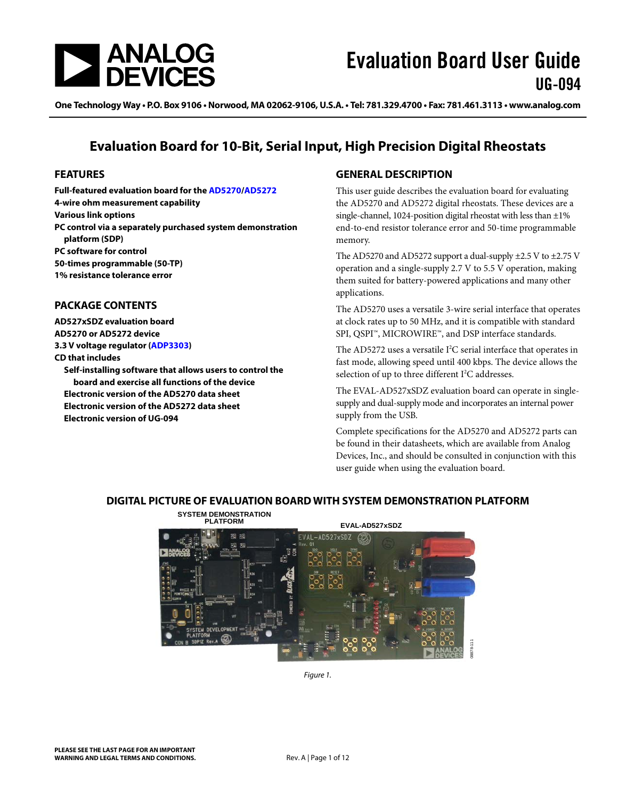

One Technology Way • P.O. Box 9106 • Norwood, MA 02062-9106, U.S.A. • Tel: 781.329.4700 • Fax: 781.461.3113 • www.analog.com

### **Evaluation Board for 10-Bit, Serial Input, High Precision Digital Rheostats**

#### <span id="page-0-0"></span>**FEATURES**

**Full-featured evaluation board for th[e AD5270](http://www.analog.com/AD5270)[/AD5272](http://www.analog.com/AD5272) 4-wire ohm measurement capability Various link options PC control via a separately purchased system demonstration platform (SDP) PC software for control 50-times programmable (50-TP) 1% resistance tolerance error**

#### <span id="page-0-1"></span>**PACKAGE CONTENTS**

**AD527xSDZ evaluation board [AD5270](http://www.analog.com/AD5270) o[r AD5272](http://www.analog.com/AD5272) device 3.3 V voltage regulator [\(ADP3303\)](http://www.analog.com/ADP3303) CD that includes**

**Self-installing software that allows users to control the board and exercise all functions of the device Electronic version of th[e AD5270](http://www.analog.com/AD5270) data sheet Electronic version of th[e AD5272](http://www.analog.com/AD5272) data sheet Electronic version of UG-094**

#### <span id="page-0-2"></span>**GENERAL DESCRIPTION**

This user guide describes the evaluation board for evaluating the [AD5270](http://www.analog.com/AD5270) an[d AD5272](http://www.analog.com/AD5272) digital rheostats. These devices are a single-channel, 1024-position digital rheostat with less than  $\pm 1\%$ end-to-end resistor tolerance error and 50-time programmable memory.

Th[e AD5270](http://www.analog.com/AD5270) an[d AD5272](http://www.analog.com/AD5272) support a dual-supply  $\pm$ 2.5 V to  $\pm$ 2.75 V operation and a single-supply 2.7 V to 5.5 V operation, making them suited for battery-powered applications and many other applications.

The [AD5270](http://www.analog.com/AD5270) uses a versatile 3-wire serial interface that operates at clock rates up to 50 MHz, and it is compatible with standard SPI, QSPI™, MICROWIRE™, and DSP interface standards.

The [AD5272](http://www.analog.com/AD5272) uses a versatile  $I^2C$  serial interface that operates in fast mode, allowing speed until 400 kbps. The device allows the selection of up to three different  $I<sup>2</sup>C$  addresses.

The EVAL-AD527xSDZ evaluation board can operate in singlesupply and dual-supply mode and incorporates an internal power supply from the USB.

Complete specifications for the [AD5270](http://www.analog.com/AD5270) an[d AD5272](http://www.analog.com/AD5272) parts can be found in their datasheets, which are available from Analog Devices, Inc., and should be consulted in conjunction with this user guide when using the evaluation board.

#### <span id="page-0-3"></span>**DIGITAL PICTURE OF EVALUATION BOARD WITH SYSTEM DEMONSTRATION PLATFORM**



*Figure 1.*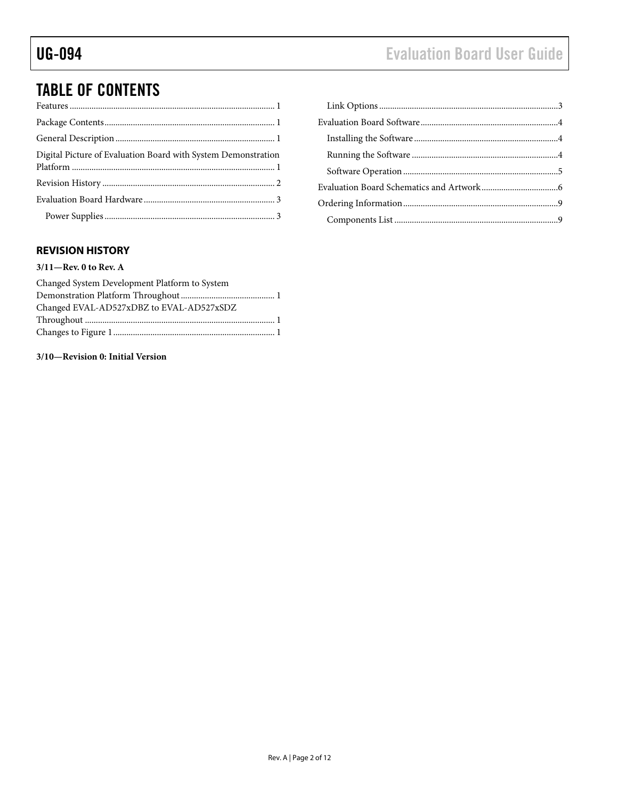## TABLE OF CONTENTS

| Digital Picture of Evaluation Board with System Demonstration |  |
|---------------------------------------------------------------|--|
|                                                               |  |
|                                                               |  |
|                                                               |  |

### [Link Options..................................................................................3](#page-2-2) [Evaluation Board Software...............................................................4](#page-3-0) Installing the Software [..................................................................4](#page-3-1) Running the Software [...................................................................4](#page-3-2) [Software Operation.......................................................................5](#page-4-0) [Evaluation Board Schematics and Artwork...................................6](#page-5-0) [Ordering Information.......................................................................9](#page-8-0) Components List [...........................................................................9](#page-8-1)

### <span id="page-1-0"></span>**REVISION HISTORY**

#### **3/11—Rev. 0 to Rev. A**

| Changed System Development Platform to System |  |
|-----------------------------------------------|--|
|                                               |  |
| Changed EVAL-AD527xDBZ to EVAL-AD527xSDZ      |  |
|                                               |  |
|                                               |  |

#### **3/10—Revision 0: Initial Version**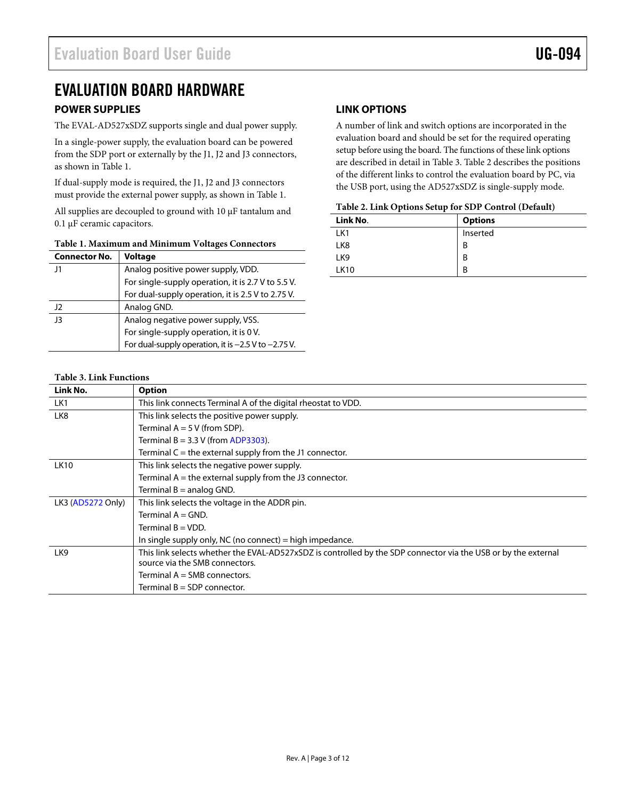### <span id="page-2-0"></span>EVALUATION BOARD HARDWARE

#### <span id="page-2-1"></span>**POWER SUPPLIES**

The EVAL-AD527xSDZ supports single and dual power supply.

In a single-power supply, the evaluation board can be powered from the SDP port or externally by the J1, J2 and J3 connectors, as shown i[n Table 1.](#page-2-3) 

If dual-supply mode is required, the J1, J2 and J3 connectors must provide the external power supply, as shown i[n Table 1.](#page-2-3) 

All supplies are decoupled to ground with 10 μF tantalum and 0.1 μF ceramic capacitors.

<span id="page-2-3"></span>

| <b>Connector No.</b> | <b>Voltage</b>                                          |  |  |
|----------------------|---------------------------------------------------------|--|--|
| 1                    | Analog positive power supply, VDD.                      |  |  |
|                      | For single-supply operation, it is 2.7 V to 5.5 V.      |  |  |
|                      | For dual-supply operation, it is 2.5 V to 2.75 V.       |  |  |
| 12                   | Analog GND.                                             |  |  |
| -13                  | Analog negative power supply, VSS.                      |  |  |
|                      | For single-supply operation, it is 0 V.                 |  |  |
|                      | For dual-supply operation, it is $-2.5$ V to $-2.75$ V. |  |  |

#### <span id="page-2-2"></span>**LINK OPTIONS**

A number of link and switch options are incorporated in the evaluation board and should be set for the required operating setup before using the board. The functions of these link options are described in detail i[n Table 3.](#page-2-4) [Table 2](#page-2-5) describes the positions of the different links to control the evaluation board by PC, via the USB port, using the AD527xSDZ is single-supply mode.

#### <span id="page-2-5"></span>**Table 2. Link Options Setup for SDP Control (Default)**

| Link No.        | <b>Options</b> |
|-----------------|----------------|
| LK1             | Inserted       |
| LK <sub>8</sub> | В              |
| LK <sub>9</sub> | B              |
| <b>LK10</b>     | В              |

#### <span id="page-2-4"></span>**Table 3. Link Functions**

| Link No.          | <b>Option</b>                                                                                                  |  |  |
|-------------------|----------------------------------------------------------------------------------------------------------------|--|--|
| LK1               | This link connects Terminal A of the digital rheostat to VDD.                                                  |  |  |
| LK8               | This link selects the positive power supply.                                                                   |  |  |
|                   | Terminal $A = 5 V$ (from SDP).                                                                                 |  |  |
|                   | Terminal $B = 3.3$ V (from ADP3303).                                                                           |  |  |
|                   | Terminal $C =$ the external supply from the J1 connector.                                                      |  |  |
| <b>LK10</b>       | This link selects the negative power supply.                                                                   |  |  |
|                   | Terminal $A =$ the external supply from the J3 connector.                                                      |  |  |
|                   | Terminal $B =$ analog GND.                                                                                     |  |  |
| LK3 (AD5272 Only) | This link selects the voltage in the ADDR pin.                                                                 |  |  |
|                   | Terminal $A = GND$ .                                                                                           |  |  |
|                   | Terminal $B = VDD$ .                                                                                           |  |  |
|                   | In single supply only, NC (no connect) = high impedance.                                                       |  |  |
| LK9               | This link selects whether the EVAL-AD527xSDZ is controlled by the SDP connector via the USB or by the external |  |  |
|                   | source via the SMB connectors.                                                                                 |  |  |
|                   | Terminal $A = SMB$ connectors.                                                                                 |  |  |
|                   | Terminal $B = SDP$ connector.                                                                                  |  |  |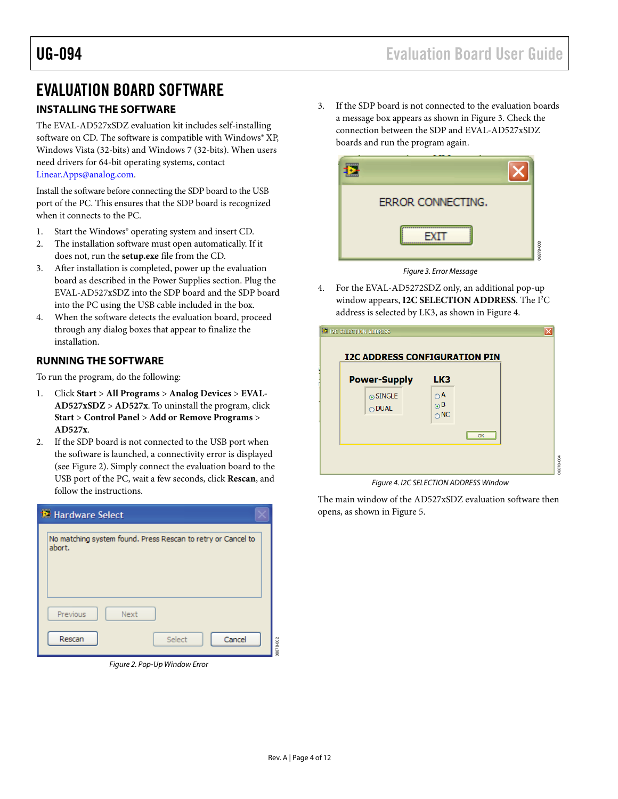### <span id="page-3-0"></span>EVALUATION BOARD SOFTWARE

### <span id="page-3-1"></span>**INSTALLING THE SOFTWARE**

The EVAL-AD527xSDZ evaluation kit includes self-installing software on CD. The software is compatible with Windows® XP, Windows Vista (32-bits) and Windows 7 (32-bits). When users need drivers for 64-bit operating systems, contact [Linear.Apps@analog.com.](mailto:Linear.Apps@analog.com)

Install the software before connecting the SDP board to the USB port of the PC. This ensures that the SDP board is recognized when it connects to the PC.

- 1. Start the Windows® operating system and insert CD.
- 2. The installation software must open automatically. If it does not, run the **setup.exe** file from the CD.
- 3. After installation is completed, power up the evaluation board as described in the [Power Supplies](#page-2-1) section. Plug the EVAL-AD527xSDZ into the SDP board and the SDP board into the PC using the USB cable included in the box.
- 4. When the software detects the evaluation board, proceed through any dialog boxes that appear to finalize the installation.

#### <span id="page-3-2"></span>**RUNNING THE SOFTWARE**

To run the program, do the following:

- 1. Click **Start** > **All Programs** > **Analog Devices** > **EVAL-AD527xSDZ** > **AD527x**. To uninstall the program, click **Start** > **Control Panel** > **Add or Remove Programs** > **AD527x**.
- 2. If the SDP board is not connected to the USB port when the software is launched, a connectivity error is displayed (see [Figure 2\)](#page-3-3). Simply connect the evaluation board to the USB port of the PC, wait a few seconds, click **Rescan**, and follow the instructions.

| <b>E</b> Hardware Select |                                                                        |           |  |
|--------------------------|------------------------------------------------------------------------|-----------|--|
|                          | No matching system found. Press Rescan to retry or Cancel to<br>abort. |           |  |
|                          | Previous<br>Next<br>Rescan<br>Cancel<br>Select                         | 08878-002 |  |

<span id="page-3-3"></span>*Figure 2. Pop-Up Window Error*

3. If the SDP board is not connected to the evaluation boards a message box appears as shown in [Figure 3.](#page-3-4) Check the connection between the SDP and EVAL-AD527xSDZ boards and run the program again.



*Figure 3. Error Message*

<span id="page-3-4"></span>4. For the EVAL-AD5272SDZ only, an additional pop-up window appears, I2C SELECTION ADDRESS. The I<sup>2</sup>C address is selected by LK3, as shown i[n Figure 4.](#page-3-5)

| <b>Power-Supply</b>         | LK3                                        |    |  |
|-----------------------------|--------------------------------------------|----|--|
| ⊙ SINGLE<br>$\bigcirc$ DUAL | $\bigcirc$ A<br>$\odot$ B<br>$\bigcirc$ NC |    |  |
|                             |                                            | OK |  |

*Figure 4. I2C SELECTION ADDRESS Window*

<span id="page-3-5"></span>The main window of the AD527xSDZ evaluation software then opens, as shown i[n Figure 5.](#page-4-1)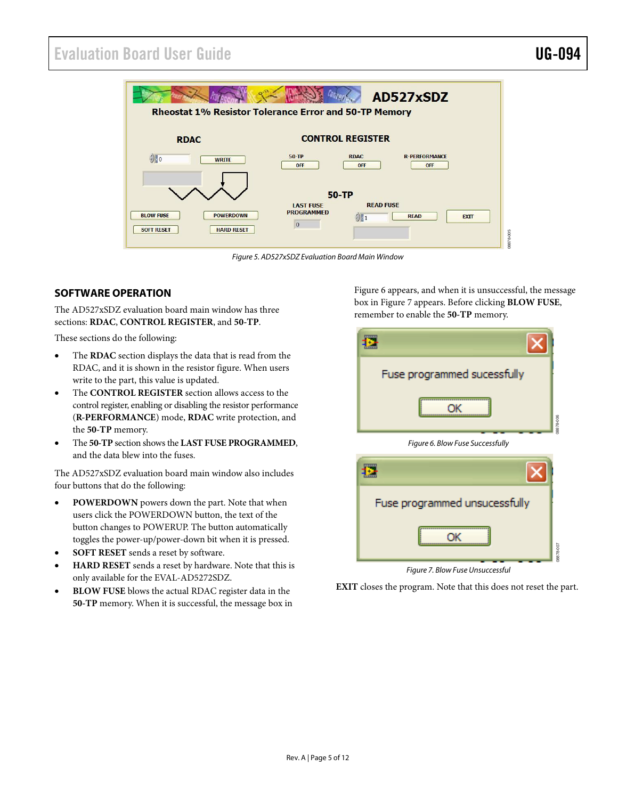### Evaluation Board User Guide Communication Control of the UG-094

08878-007

 $607$ 



*Figure 5. AD527xSDZ Evaluation Board Main Window*

#### <span id="page-4-1"></span><span id="page-4-0"></span>**SOFTWARE OPERATION**

The AD527xSDZ evaluation board main window has three sections: **RDAC**, **CONTROL REGISTER**, and **50-TP**.

These sections do the following:

- The **RDAC** section displays the data that is read from the RDAC, and it is shown in the resistor figure. When users write to the part, this value is updated.
- The **CONTROL REGISTER** section allows access to the control register, enabling or disabling the resistor performance (**R-PERFORMANCE**) mode, **RDAC** write protection, and the **50-TP** memory.
- The **50-TP** section shows the **LAST FUSE PROGRAMMED**, and the data blew into the fuses.

The AD527xSDZ evaluation board main window also includes four buttons that do the following:

- **POWERDOWN** powers down the part. Note that when users click the POWERDOWN button, the text of the button changes to POWERUP. The button automatically toggles the power-up/power-down bit when it is pressed.
- **SOFT RESET** sends a reset by software.
- **HARD RESET** sends a reset by hardware. Note that this is only available for the EVAL-AD5272SDZ.
- **BLOW FUSE** blows the actual RDAC register data in the **50-TP** memory. When it is successful, the message box in

[Figure 6](#page-4-2) appears, and when it is unsuccessful, the message box i[n Figure 7](#page-4-3) appears. Before clicking **BLOW FUSE**, remember to enable the **50-TP** memory.



<span id="page-4-2"></span>

*Figure 7. Blow Fuse Unsuccessful*

<span id="page-4-3"></span>**EXIT** closes the program. Note that this does not reset the part.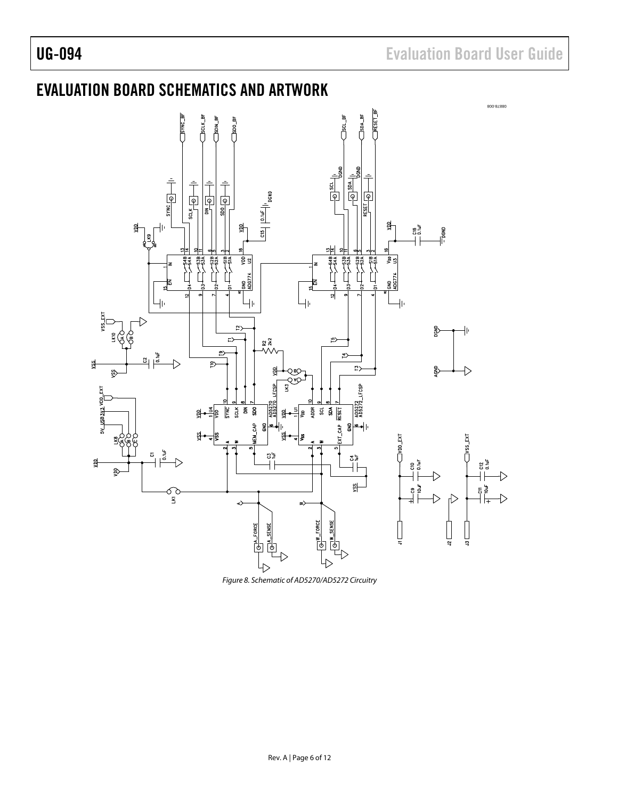## <span id="page-5-0"></span>EVALUATION BOARD SCHEMATICS AND ARTWORK



*Figure 8. Schematic of AD5270/AD5272 Circuitry*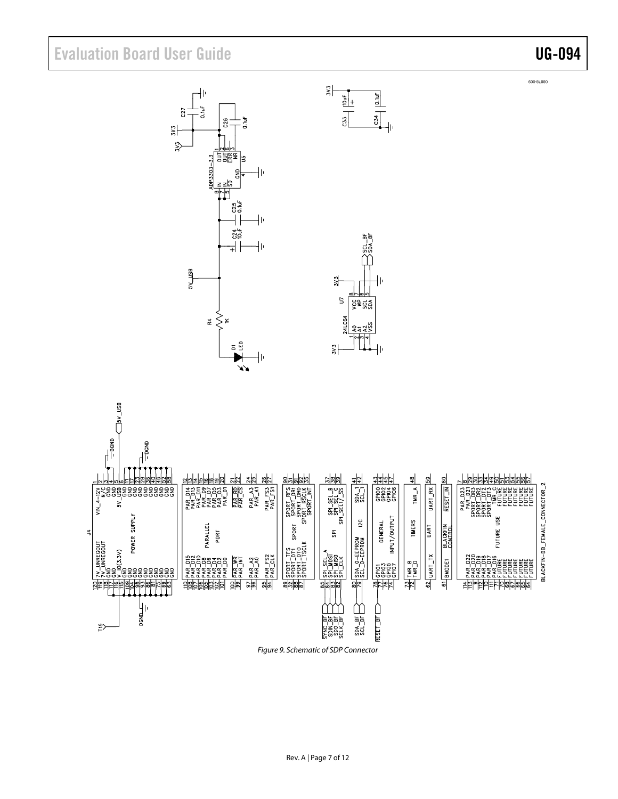## Evaluation Board User Guide Communication Control of Control of Control Control of Control Of Control Of Control Of Control Of Control Of Control Of Control Of Control Of Control Of Control Of Control Of Control Of Control

08878-009





*Figure 9. Schematic of SDP Connector*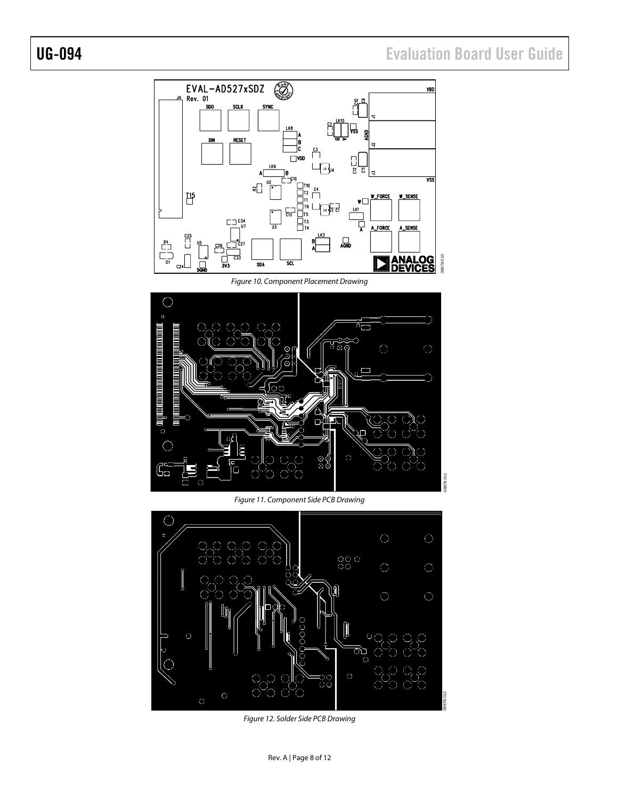# UG-094 Evaluation Board User Guide



*Figure 10. Component Placement Drawing*



*Figure 11. Component Side PCB Drawing*



*Figure 12. Solder Side PCB Drawing*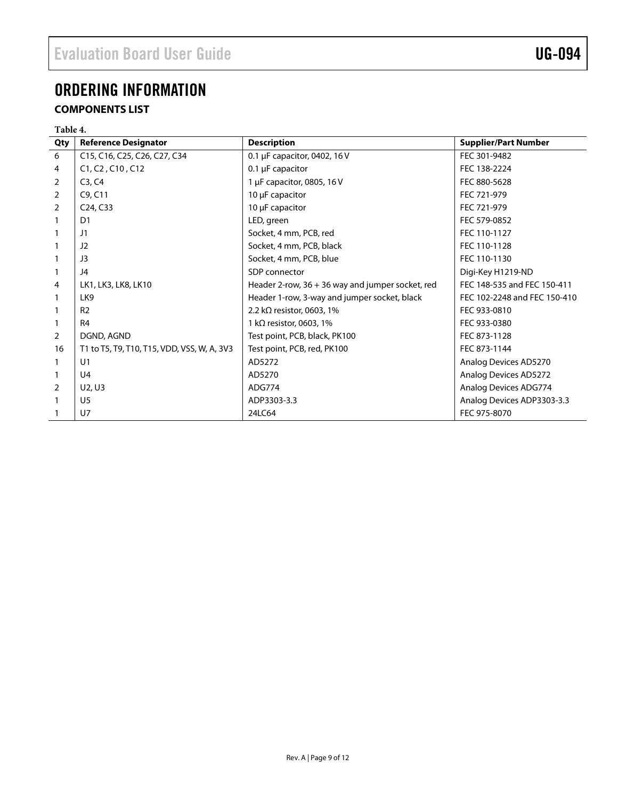## <span id="page-8-0"></span>ORDERING INFORMATION

### <span id="page-8-1"></span>**COMPONENTS LIST**

| Table 4. |                                             |                                                  |                              |
|----------|---------------------------------------------|--------------------------------------------------|------------------------------|
| Qty      | <b>Reference Designator</b>                 | <b>Description</b>                               | <b>Supplier/Part Number</b>  |
| 6        | C15, C16, C25, C26, C27, C34                | 0.1 µF capacitor, 0402, 16 V                     | FEC 301-9482                 |
| 4        | C1, C2, C10, C12                            | $0.1 \mu$ F capacitor                            | FEC 138-2224                 |
| 2        | C3, C4                                      | 1 µF capacitor, 0805, 16 V                       | FEC 880-5628                 |
| 2        | C9, C11                                     | 10 µF capacitor                                  | FEC 721-979                  |
| 2        | C <sub>24</sub> , C <sub>33</sub>           | 10 µF capacitor                                  | FEC 721-979                  |
|          | D <sub>1</sub>                              | LED, green                                       | FEC 579-0852                 |
|          | J1                                          | Socket, 4 mm, PCB, red                           | FEC 110-1127                 |
|          | J2                                          | Socket, 4 mm, PCB, black                         | FEC 110-1128                 |
|          | J3                                          | Socket, 4 mm, PCB, blue                          | FEC 110-1130                 |
|          | J4                                          | SDP connector                                    | Digi-Key H1219-ND            |
| 4        | LK1, LK3, LK8, LK10                         | Header 2-row, 36 + 36 way and jumper socket, red | FEC 148-535 and FEC 150-411  |
|          | LK <sub>9</sub>                             | Header 1-row, 3-way and jumper socket, black     | FEC 102-2248 and FEC 150-410 |
|          | R <sub>2</sub>                              | 2.2 k $\Omega$ resistor, 0603, 1%                | FEC 933-0810                 |
|          | R <sub>4</sub>                              | 1 k $\Omega$ resistor, 0603, 1%                  | FEC 933-0380                 |
| 2        | DGND, AGND                                  | Test point, PCB, black, PK100                    | FEC 873-1128                 |
| 16       | T1 to T5, T9, T10, T15, VDD, VSS, W, A, 3V3 | Test point, PCB, red, PK100                      | FEC 873-1144                 |
|          | U1                                          | AD5272                                           | Analog Devices AD5270        |
|          | U <sub>4</sub>                              | AD5270                                           | Analog Devices AD5272        |
| 2        | U2, U3                                      | ADG774                                           | Analog Devices ADG774        |
|          | U <sub>5</sub>                              | ADP3303-3.3                                      | Analog Devices ADP3303-3.3   |
|          | $U$ 7                                       | 24LC64                                           | FEC 975-8070                 |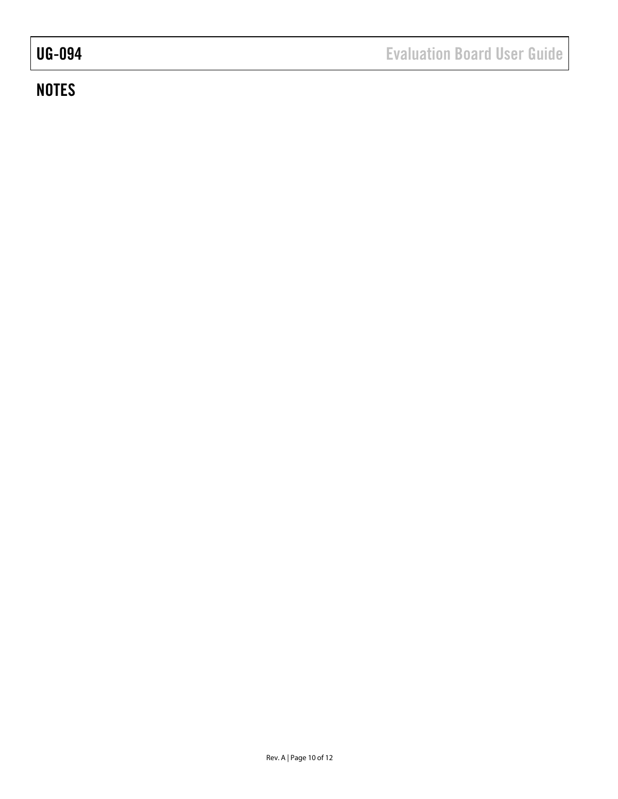# **NOTES**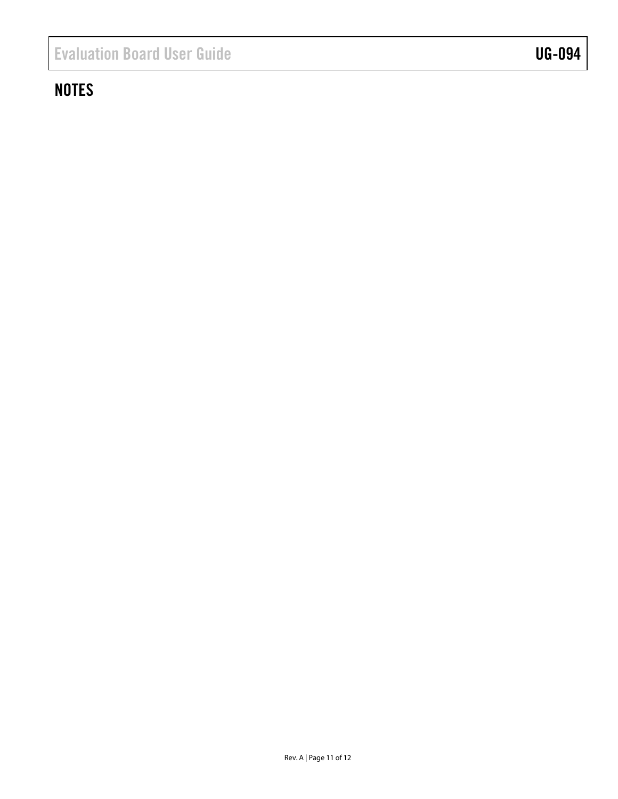## **NOTES**